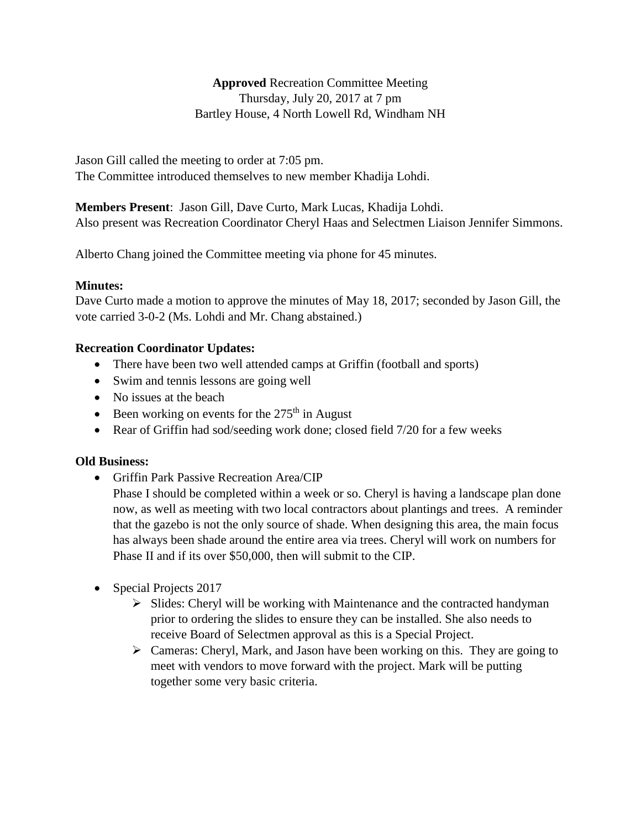**Approved** Recreation Committee Meeting Thursday, July 20, 2017 at 7 pm Bartley House, 4 North Lowell Rd, Windham NH

Jason Gill called the meeting to order at 7:05 pm. The Committee introduced themselves to new member Khadija Lohdi.

**Members Present**: Jason Gill, Dave Curto, Mark Lucas, Khadija Lohdi. Also present was Recreation Coordinator Cheryl Haas and Selectmen Liaison Jennifer Simmons.

Alberto Chang joined the Committee meeting via phone for 45 minutes.

## **Minutes:**

Dave Curto made a motion to approve the minutes of May 18, 2017; seconded by Jason Gill, the vote carried 3-0-2 (Ms. Lohdi and Mr. Chang abstained.)

## **Recreation Coordinator Updates:**

- There have been two well attended camps at Griffin (football and sports)
- Swim and tennis lessons are going well
- No issues at the beach
- Been working on events for the  $275<sup>th</sup>$  in August
- Rear of Griffin had sod/seeding work done; closed field 7/20 for a few weeks

## **Old Business:**

Griffin Park Passive Recreation Area/CIP

Phase I should be completed within a week or so. Cheryl is having a landscape plan done now, as well as meeting with two local contractors about plantings and trees. A reminder that the gazebo is not the only source of shade. When designing this area, the main focus has always been shade around the entire area via trees. Cheryl will work on numbers for Phase II and if its over \$50,000, then will submit to the CIP.

- Special Projects 2017
	- $\triangleright$  Slides: Cheryl will be working with Maintenance and the contracted handyman prior to ordering the slides to ensure they can be installed. She also needs to receive Board of Selectmen approval as this is a Special Project.
	- $\triangleright$  Cameras: Cheryl, Mark, and Jason have been working on this. They are going to meet with vendors to move forward with the project. Mark will be putting together some very basic criteria.